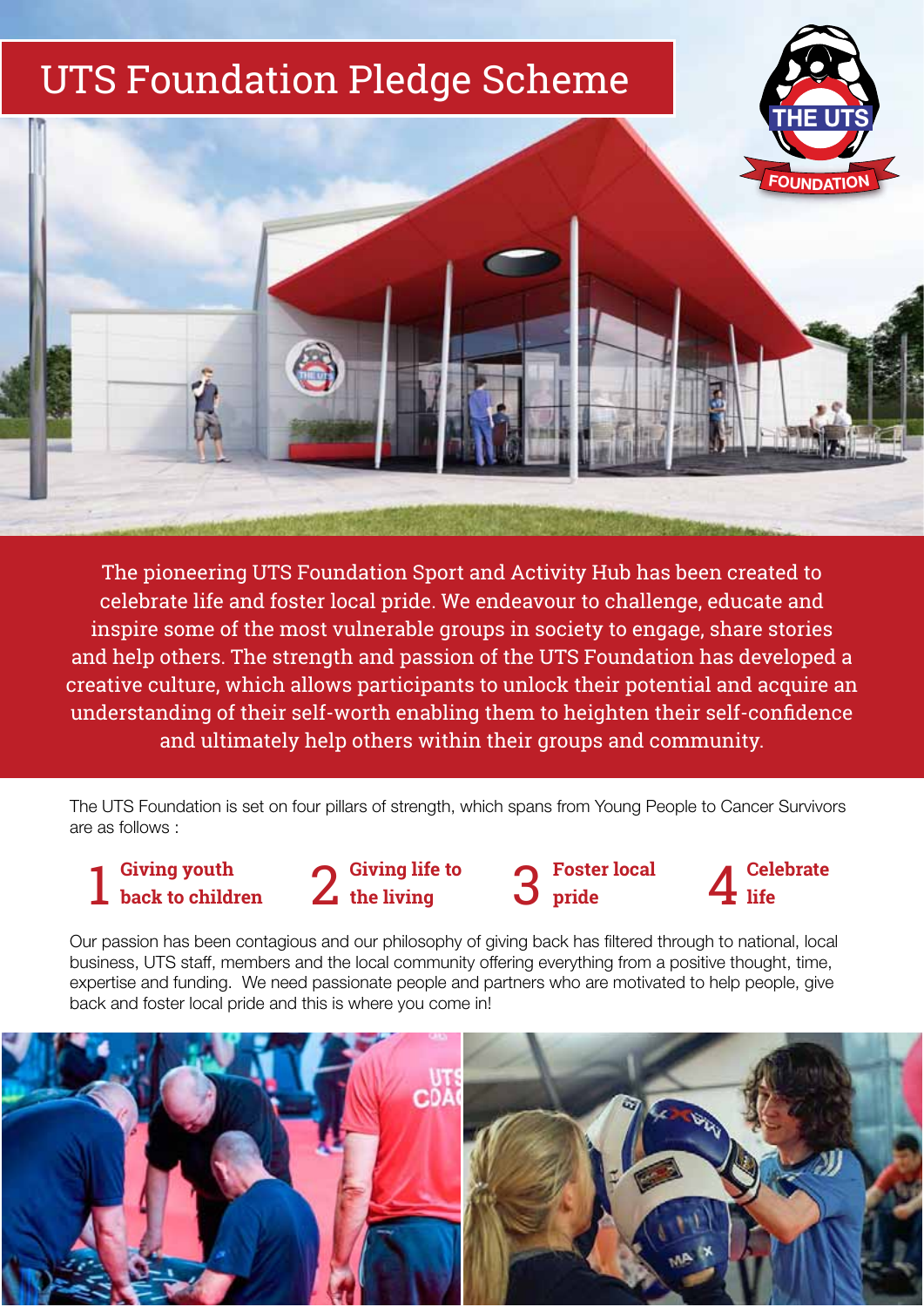# UTS Foundation Pledge Scheme





The pioneering UTS Foundation Sport and Activity Hub has been created to celebrate life and foster local pride. We endeavour to challenge, educate and inspire some of the most vulnerable groups in society to engage, share stories and help others. The strength and passion of the UTS Foundation has developed a creative culture, which allows participants to unlock their potential and acquire an understanding of their self-worth enabling them to heighten their self-confidence and ultimately help others within their groups and community.

The UTS Foundation is set on four pillars of strength, which spans from Young People to Cancer Survivors are as follows :

**Giving youth back to children**



**Foster local pride**

Our passion has been contagious and our philosophy of giving back has filtered through to national, local business, UTS staff, members and the local community offering everything from a positive thought, time, expertise and funding. We need passionate people and partners who are motivated to help people, give back and foster local pride and this is where you come in!

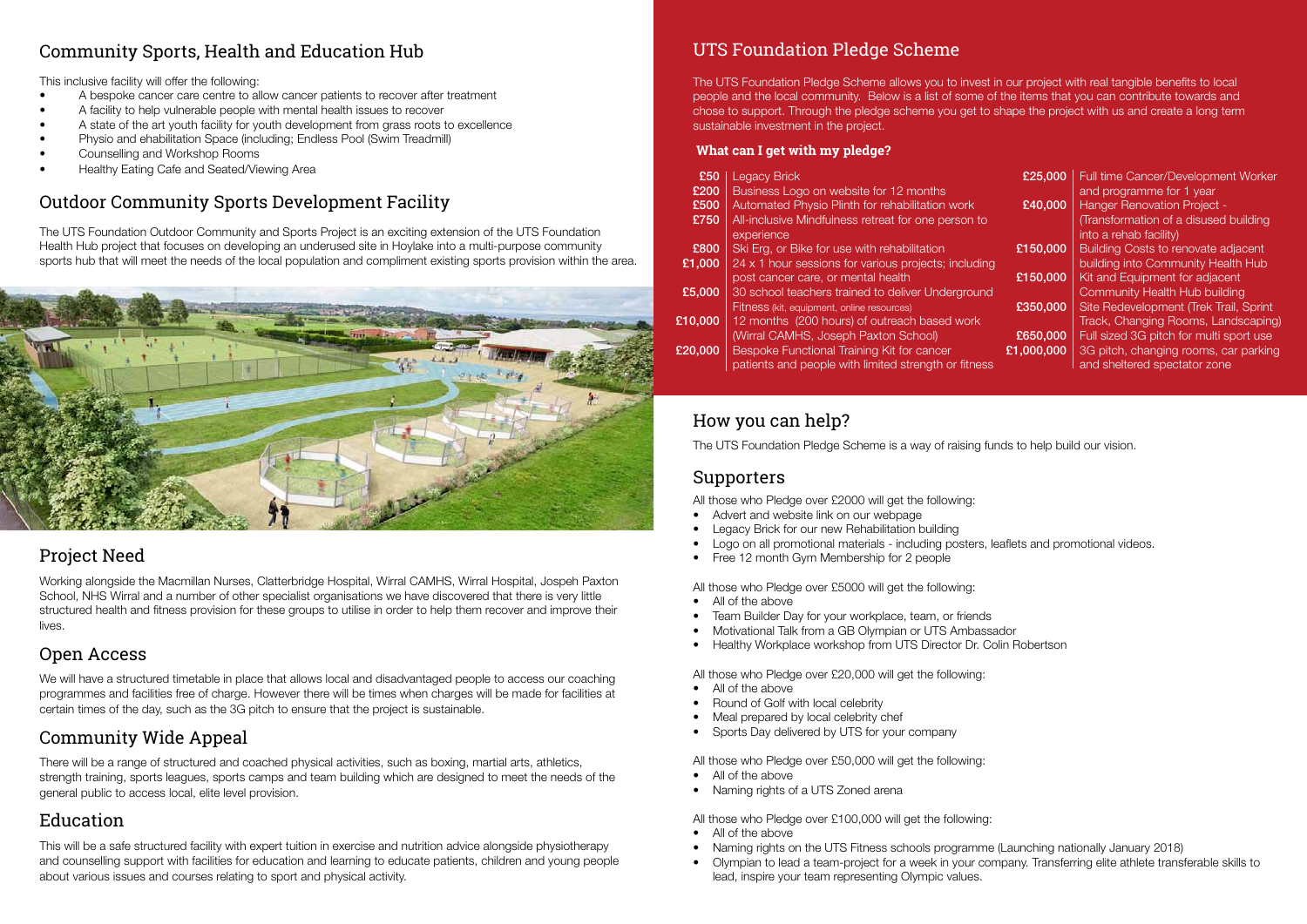## Project Need

Working alongside the Macmillan Nurses, Clatterbridge Hospital, Wirral CAMHS, Wirral Hospital, Jospeh Paxton School, NHS Wirral and a number of other specialist organisations we have discovered that there is very little structured health and fitness provision for these groups to utilise in order to help them recover and improve their lives.

### Open Access

We will have a structured timetable in place that allows local and disadvantaged people to access our coaching programmes and facilities free of charge. However there will be times when charges will be made for facilities at certain times of the day, such as the 3G pitch to ensure that the project is sustainable.

### Community Wide Appeal

There will be a range of structured and coached physical activities, such as boxing, martial arts, athletics, strength training, sports leagues, sports camps and team building which are designed to meet the needs of the general public to access local, elite level provision.

### Education

This will be a safe structured facility with expert tuition in exercise and nutrition advice alongside physiotherapy and counselling support with facilities for education and learning to educate patients, children and young people about various issues and courses relating to sport and physical activity.

# UTS Foundation Pledge Scheme

The UTS Foundation Pledge Scheme allows you to invest in our project with real tangible benefits to local people and the local community. Below is a list of some of the items that you can contribute towards and chose to support. Through the pledge scheme you get to shape the project with us and create a long term sustainable investment in the project.

- All of the above
- Naming rights on the UTS Fitness schools programme (Launching nationally January 2018)
- • Olympian to lead a team-project for a week in your company. Transferring elite athlete transferable skills to lead, inspire your team representing Olympic values.

### How you can help?

| £50     | <b>Legacy Brick</b>                                  | £25,000    | Full time Cancer/Development Worker        |
|---------|------------------------------------------------------|------------|--------------------------------------------|
| £200    | Business Logo on website for 12 months               |            | and programme for 1 year                   |
| £500    | Automated Physio Plinth for rehabilitation work      | £40,000    | <b>Hanger Renovation Project -</b>         |
| £750    | All-inclusive Mindfulness retreat for one person to  |            | (Transformation of a disused building      |
|         | experience                                           |            | into a rehab facility)                     |
| £800    | Ski Erg, or Bike for use with rehabilitation         | £150,000   | <b>Building Costs to renovate adjacent</b> |
| £1,000  | 24 x 1 hour sessions for various projects; including |            | building into Community Health Hub         |
|         | post cancer care, or mental health                   | £150,000   | Kit and Equipment for adjacent             |
| £5,000  | 30 school teachers trained to deliver Underground    |            | <b>Community Health Hub building</b>       |
|         | Fitness (kit, equipment, online resources)           | £350,000   | Site Redevelopment (Trek Trail, Sprint     |
| £10,000 | 12 months (200 hours) of outreach based work         |            | Track, Changing Rooms, Landscaping)        |
|         | (Wirral CAMHS, Joseph Paxton School)                 | £650,000   | Full sized 3G pitch for multi sport use    |
| £20,000 | Bespoke Functional Training Kit for cancer           | £1,000,000 | 3G pitch, changing rooms, car parking      |
|         | patients and people with limited strength or fitness |            | and sheltered spectator zone               |
|         |                                                      |            |                                            |

The UTS Foundation Pledge Scheme is a way of raising funds to help build our vision.

### **What can I get with my pledge?**

### Supporters

All those who Pledge over £2000 will get the following:

- Advert and website link on our webpage
- Legacy Brick for our new Rehabilitation building
- Logo on all promotional materials including posters, leaflets and promotional videos.
- Free 12 month Gym Membership for 2 people

All those who Pledge over £5000 will get the following:

- All of the above
- Team Builder Day for your workplace, team, or friends
- Motivational Talk from a GB Olympian or UTS Ambassador
- Healthy Workplace workshop from UTS Director Dr. Colin Robertson

All those who Pledge over £20,000 will get the following:

- All of the above
- **Round of Golf with local celebrity**
- Meal prepared by local celebrity chef
- Sports Day delivered by UTS for your company

All those who Pledge over £50,000 will get the following:

- All of the above
- Naming rights of a UTS Zoned arena

All those who Pledge over £100,000 will get the following:

### Community Sports, Health and Education Hub

This inclusive facility will offer the following:

- A bespoke cancer care centre to allow cancer patients to recover after treatment
- A facility to help vulnerable people with mental health issues to recover
- A state of the art youth facility for youth development from grass roots to excellence
- **Physio and ehabilitation Space (including: Endless Pool (Swim Treadmill)**
- Counselling and Workshop Rooms
- Healthy Eating Cafe and Seated/Viewing Area

# Outdoor Community Sports Development Facility

The UTS Foundation Outdoor Community and Sports Project is an exciting extension of the UTS Foundation Health Hub project that focuses on developing an underused site in Hoylake into a multi-purpose community sports hub that will meet the needs of the local population and compliment existing sports provision within the area.